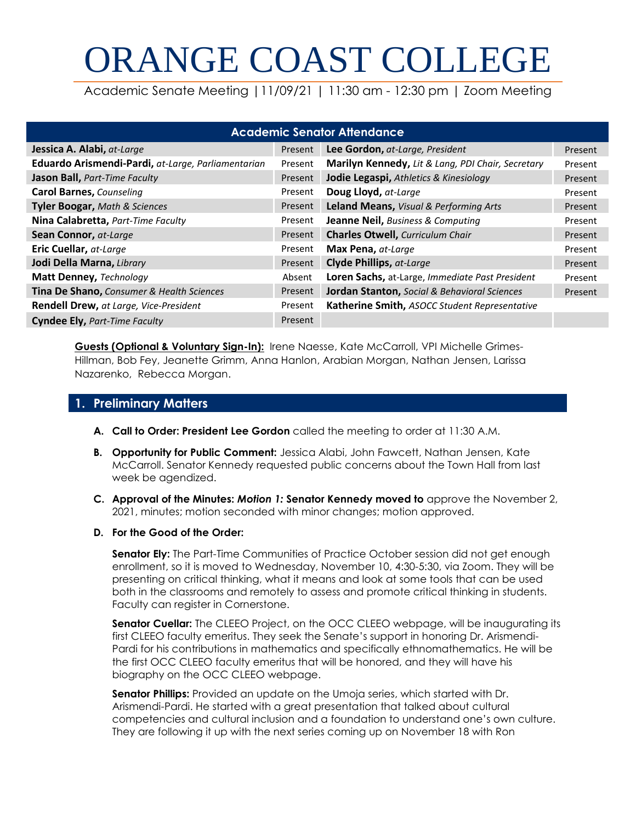# ORANGE COAST COLLEGE

Academic Senate Meeting |11/09/21 | 11:30 am - 12:30 pm | Zoom Meeting

| <b>Academic Senator Attendance</b>                 |         |                                                   |         |  |
|----------------------------------------------------|---------|---------------------------------------------------|---------|--|
| Jessica A. Alabi, at-Large                         | Present | Lee Gordon, at-Large, President                   | Present |  |
| Eduardo Arismendi-Pardi, at-Large, Parliamentarian | Present | Marilyn Kennedy, Lit & Lang, PDI Chair, Secretary | Present |  |
| Jason Ball, Part-Time Faculty                      | Present | Jodie Legaspi, Athletics & Kinesiology            | Present |  |
| <b>Carol Barnes, Counseling</b>                    | Present | Doug Lloyd, at-Large                              | Present |  |
| <b>Tyler Boogar, Math &amp; Sciences</b>           | Present | Leland Means, Visual & Performing Arts            | Present |  |
| <b>Nina Calabretta, Part-Time Faculty</b>          | Present | Jeanne Neil, Business & Computing                 | Present |  |
| Sean Connor, at-Large                              | Present | <b>Charles Otwell, Curriculum Chair</b>           | Present |  |
| Eric Cuellar, at-Large                             | Present | Max Pena, at-Large                                | Present |  |
| Jodi Della Marna, Library                          | Present | Clyde Phillips, at-Large                          | Present |  |
| Matt Denney, Technology                            | Absent  | Loren Sachs, at-Large, Immediate Past President   | Present |  |
| Tina De Shano, Consumer & Health Sciences          | Present | Jordan Stanton, Social & Behavioral Sciences      | Present |  |
| Rendell Drew, at Large, Vice-President             | Present | Katherine Smith, ASOCC Student Representative     |         |  |
| <b>Cyndee Ely, Part-Time Faculty</b>               | Present |                                                   |         |  |

**Guests (Optional & Voluntary Sign-In):** Irene Naesse, Kate McCarroll, VPI Michelle Grimes-Hillman, Bob Fey, Jeanette Grimm, Anna Hanlon, Arabian Morgan, Nathan Jensen, Larissa Nazarenko, Rebecca Morgan.

# **1. Preliminary Matters**

- **A. Call to Order: President Lee Gordon** called the meeting to order at 11:30 A.M.
- **B. Opportunity for Public Comment:** Jessica Alabi, John Fawcett, Nathan Jensen, Kate McCarroll. Senator Kennedy requested public concerns about the Town Hall from last week be agendized.
- **C. Approval of the Minutes:** *Motion 1:* **Senator Kennedy moved to** approve the November 2, 2021, minutes; motion seconded with minor changes; motion approved.
- **D. For the Good of the Order:**

**Senator Ely:** The Part-Time Communities of Practice October session did not get enough enrollment, so it is moved to Wednesday, November 10, 4:30-5:30, via Zoom. They will be presenting on critical thinking, what it means and look at some tools that can be used both in the classrooms and remotely to assess and promote critical thinking in students. Faculty can register in Cornerstone.

**Senator Cuellar:** The CLEEO Project, on the OCC CLEEO webpage, will be inaugurating its first CLEEO faculty emeritus. They seek the Senate's support in honoring Dr. Arismendi-Pardi for his contributions in mathematics and specifically ethnomathematics. He will be the first OCC CLEEO faculty emeritus that will be honored, and they will have his biography on the OCC CLEEO webpage.

**Senator Phillips:** Provided an update on the Umoja series, which started with Dr. Arismendi-Pardi. He started with a great presentation that talked about cultural competencies and cultural inclusion and a foundation to understand one's own culture. They are following it up with the next series coming up on November 18 with Ron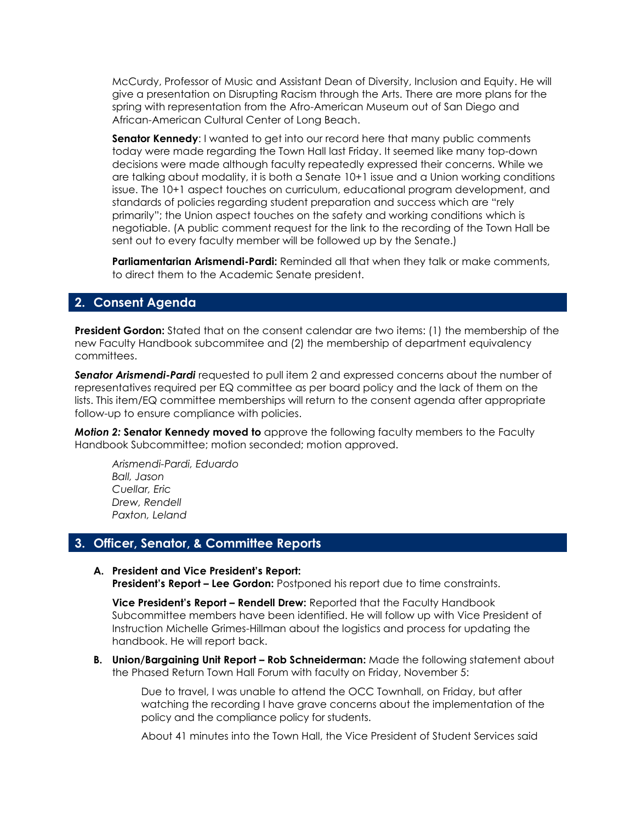McCurdy, Professor of Music and Assistant Dean of Diversity, Inclusion and Equity. He will give a presentation on Disrupting Racism through the Arts. There are more plans for the spring with representation from the Afro-American Museum out of San Diego and African-American Cultural Center of Long Beach.

**Senator Kennedy:** I wanted to get into our record here that many public comments today were made regarding the Town Hall last Friday. It seemed like many top-down decisions were made although faculty repeatedly expressed their concerns. While we are talking about modality, it is both a Senate 10+1 issue and a Union working conditions issue. The 10+1 aspect touches on curriculum, educational program development, and standards of policies regarding student preparation and success which are "rely primarily"; the Union aspect touches on the safety and working conditions which is negotiable. (A public comment request for the link to the recording of the Town Hall be sent out to every faculty member will be followed up by the Senate.)

**Parliamentarian Arismendi-Pardi:** Reminded all that when they talk or make comments, to direct them to the Academic Senate president.

## **2. Consent Agenda**

**President Gordon:** Stated that on the consent calendar are two items: (1) the membership of the new Faculty Handbook subcommitee and (2) the membership of department equivalency committees.

**Senator Arismendi-Pardi** requested to pull item 2 and expressed concerns about the number of representatives required per EQ committee as per board policy and the lack of them on the lists. This item/EQ committee memberships will return to the consent agenda after appropriate follow-up to ensure compliance with policies.

*Motion 2:* **Senator Kennedy moved to** approve the following faculty members to the Faculty Handbook Subcommittee; motion seconded; motion approved.

*Arismendi-Pardi, Eduardo Ball, Jason Cuellar, Eric Drew, Rendell Paxton, Leland*

## **3. Officer, Senator, & Committee Reports**

**A. President and Vice President's Report:** 

**President's Report – Lee Gordon:** Postponed his report due to time constraints.

**Vice President's Report – Rendell Drew:** Reported that the Faculty Handbook Subcommittee members have been identified. He will follow up with Vice President of Instruction Michelle Grimes-Hillman about the logistics and process for updating the handbook. He will report back.

**B. Union/Bargaining Unit Report – Rob Schneiderman:** Made the following statement about the Phased Return Town Hall Forum with faculty on Friday, November 5:

Due to travel, I was unable to attend the OCC Townhall, on Friday, but after watching the recording I have grave concerns about the implementation of the policy and the compliance policy for students.

About 41 minutes into the Town Hall, the Vice President of Student Services said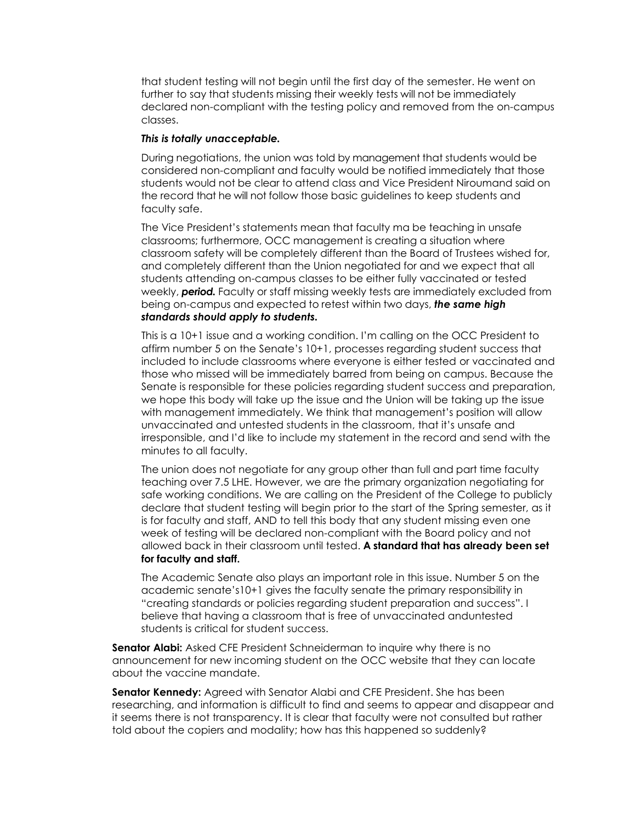that student testing will not begin until the first day of the semester. He went on further to say that students missing their weekly tests will not be immediately declared non-compliant with the testing policy and removed from the on-campus classes.

#### *This is totally unacceptable.*

During negotiations, the union was told by management that students would be considered non-compliant and faculty would be notified immediately that those students would not be clear to attend class and Vice President Niroumand said on the record that he will not follow those basic guidelines to keep students and faculty safe.

The Vice President's statements mean that faculty ma be teaching in unsafe classrooms; furthermore, OCC management is creating a situation where classroom safety will be completely different than the Board of Trustees wished for, and completely different than the Union negotiated for and we expect that all students attending on-campus classes to be either fully vaccinated or tested weekly, *period.* Faculty or staff missing weekly tests are immediately excluded from being on-campus and expected to retest within two days, *the same high standards should apply to students.* 

This is a 10+1 issue and a working condition. I'm calling on the OCC President to affirm number 5 on the Senate's 10+1, processes regarding student success that included to include classrooms where everyone is either tested or vaccinated and those who missed will be immediately barred from being on campus. Because the Senate is responsible for these policies regarding student success and preparation, we hope this body will take up the issue and the Union will be taking up the issue with management immediately. We think that management's position will allow unvaccinated and untested students in the classroom, that it's unsafe and irresponsible, and I'd like to include my statement in the record and send with the minutes to all faculty.

The union does not negotiate for any group other than full and part time faculty teaching over 7.5 LHE. However, we are the primary organization negotiating for safe working conditions. We are calling on the President of the College to publicly declare that student testing will begin prior to the start of the Spring semester, as it is for faculty and staff, AND to tell this body that any student missing even one week of testing will be declared non-compliant with the Board policy and not allowed back in their classroom until tested. **A standard that has already been set for faculty and staff.**

The Academic Senate also plays an important role in this issue. Number 5 on the academic senate's10+1 gives the faculty senate the primary responsibility in "creating standards or policies regarding student preparation and success". I believe that having a classroom that is free of unvaccinated anduntested students is critical for student success.

**Senator Alabi:** Asked CFE President Schneiderman to inquire why there is no announcement for new incoming student on the OCC website that they can locate about the vaccine mandate.

**Senator Kennedy:** Agreed with Senator Alabi and CFE President. She has been researching, and information is difficult to find and seems to appear and disappear and it seems there is not transparency. It is clear that faculty were not consulted but rather told about the copiers and modality; how has this happened so suddenly?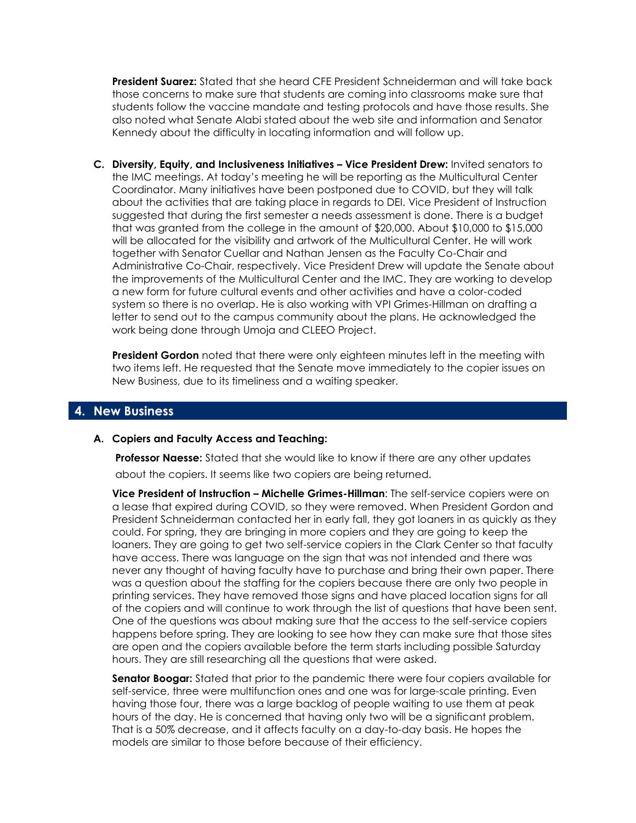**President Suarez:** Stated that she heard CFE President Schneiderman and will take back those concerns to make sure that students are coming into classrooms make sure that students follow the vaccine mandate and testing protocols and have those results. She also noted what Senate Alabi stated about the web site and information and Senator Kennedy about the difficulty in locating information and will follow up.

**C. Diversity, Equity, and Inclusiveness Initiatives – Vice President Drew:** Invited senators to the IMC meetings. At today's meeting he will be reporting as the Multicultural Center Coordinator. Many initiatives have been postponed due to COVID, but they will talk about the activities that are taking place in regards to DEI. Vice President of Instruction suggested that during the first semester a needs assessment is done. There is a budget that was granted from the college in the amount of \$20,000. About \$10,000 to \$15,000 will be allocated for the visibility and artwork of the Multicultural Center. He will work together with Senator Cuellar and Nathan Jensen as the Faculty Co-Chair and Administrative Co-Chair, respectively. Vice President Drew will update the Senate about the improvements of the Multicultural Center and the IMC. They are working to develop a new form for future cultural events and other activities and have a color-coded system so there is no overlap. He is also working with VPI Grimes-Hillman on drafting a letter to send out to the campus community about the plans. He acknowledged the work being done through Umoja and CLEEO Project.

**President Gordon** noted that there were only eighteen minutes left in the meeting with two items left. He requested that the Senate move immediately to the copier issues on New Business, due to its timeliness and a waiting speaker.

### **4. New Business**

#### **A. Copiers and Faculty Access and Teaching:**

**Professor Naesse:** Stated that she would like to know if there are any other updates about the copiers. It seems like two copiers are being returned.

**Vice President of Instruction – Michelle Grimes-Hillman**: The self-service copiers were on a lease that expired during COVID, so they were removed. When President Gordon and President Schneiderman contacted her in early fall, they got loaners in as quickly as they could. For spring, they are bringing in more copiers and they are going to keep the loaners. They are going to get two self-service copiers in the Clark Center so that faculty have access. There was language on the sign that was not intended and there was never any thought of having faculty have to purchase and bring their own paper. There was a question about the staffing for the copiers because there are only two people in printing services. They have removed those signs and have placed location signs for all of the copiers and will continue to work through the list of questions that have been sent. One of the questions was about making sure that the access to the self-service copiers happens before spring. They are looking to see how they can make sure that those sites are open and the copiers available before the term starts including possible Saturday hours. They are still researching all the questions that were asked.

**Senator Boogar:** Stated that prior to the pandemic there were four copiers available for self-service, three were multifunction ones and one was for large-scale printing. Even having those four, there was a large backlog of people waiting to use them at peak hours of the day. He is concerned that having only two will be a significant problem. That is a 50% decrease, and it affects faculty on a day-to-day basis. He hopes the models are similar to those before because of their efficiency.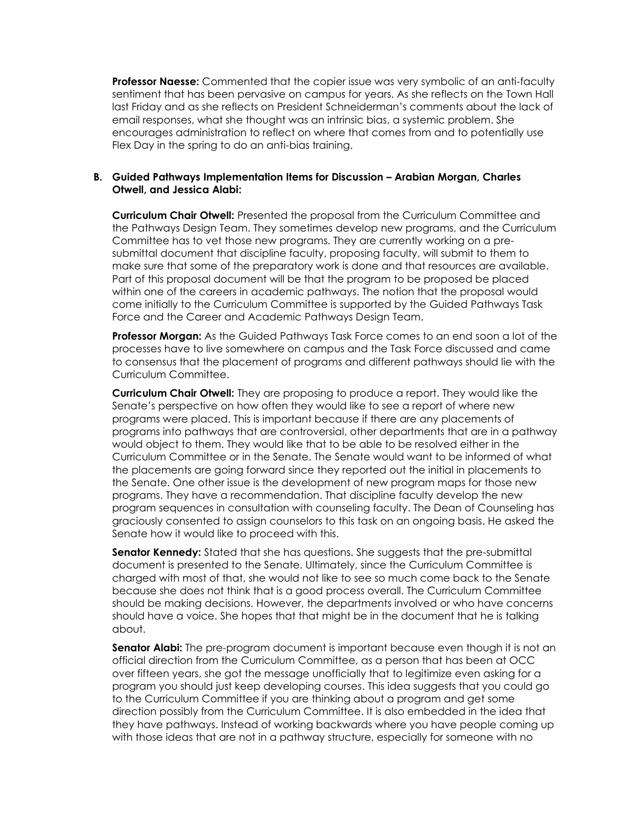**Professor Naesse:** Commented that the copier issue was very symbolic of an anti-faculty sentiment that has been pervasive on campus for years. As she reflects on the Town Hall last Friday and as she reflects on President Schneiderman's comments about the lack of email responses, what she thought was an intrinsic bias, a systemic problem. She encourages administration to reflect on where that comes from and to potentially use Flex Day in the spring to do an anti-bias training.

#### **B. Guided Pathways Implementation Items for Discussion – Arabian Morgan, Charles Otwell, and Jessica Alabi:**

**Curriculum Chair Otwell:** Presented the proposal from the Curriculum Committee and the Pathways Design Team. They sometimes develop new programs, and the Curriculum Committee has to vet those new programs. They are currently working on a presubmittal document that discipline faculty, proposing faculty, will submit to them to make sure that some of the preparatory work is done and that resources are available. Part of this proposal document will be that the program to be proposed be placed within one of the careers in academic pathways. The notion that the proposal would come initially to the Curriculum Committee is supported by the Guided Pathways Task Force and the Career and Academic Pathways Design Team.

**Professor Morgan:** As the Guided Pathways Task Force comes to an end soon a lot of the processes have to live somewhere on campus and the Task Force discussed and came to consensus that the placement of programs and different pathways should lie with the Curriculum Committee.

**Curriculum Chair Otwell:** They are proposing to produce a report. They would like the Senate's perspective on how often they would like to see a report of where new programs were placed. This is important because if there are any placements of programs into pathways that are controversial, other departments that are in a pathway would object to them. They would like that to be able to be resolved either in the Curriculum Committee or in the Senate. The Senate would want to be informed of what the placements are going forward since they reported out the initial in placements to the Senate. One other issue is the development of new program maps for those new programs. They have a recommendation. That discipline faculty develop the new program sequences in consultation with counseling faculty. The Dean of Counseling has graciously consented to assign counselors to this task on an ongoing basis. He asked the Senate how it would like to proceed with this.

**Senator Kennedy:** Stated that she has questions. She suggests that the pre-submittal document is presented to the Senate. Ultimately, since the Curriculum Committee is charged with most of that, she would not like to see so much come back to the Senate because she does not think that is a good process overall. The Curriculum Committee should be making decisions. However, the departments involved or who have concerns should have a voice. She hopes that that might be in the document that he is talking about.

**Senator Alabi:** The pre-program document is important because even though it is not an official direction from the Curriculum Committee, as a person that has been at OCC over fifteen years, she got the message unofficially that to legitimize even asking for a program you should just keep developing courses. This idea suggests that you could go to the Curriculum Committee if you are thinking about a program and get some direction possibly from the Curriculum Committee. It is also embedded in the idea that they have pathways. Instead of working backwards where you have people coming up with those ideas that are not in a pathway structure, especially for someone with no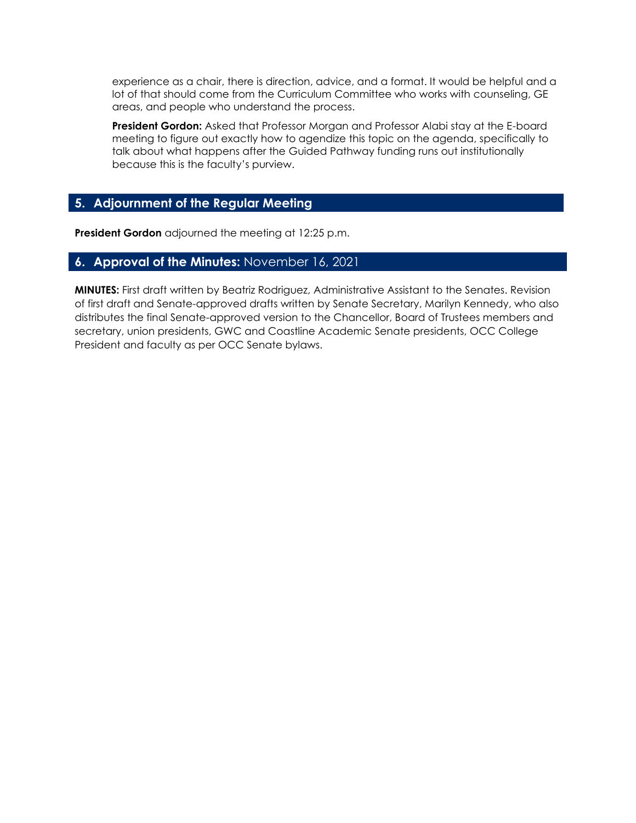experience as a chair, there is direction, advice, and a format. It would be helpful and a lot of that should come from the Curriculum Committee who works with counseling, GE areas, and people who understand the process.

**President Gordon:** Asked that Professor Morgan and Professor Alabi stay at the E-board meeting to figure out exactly how to agendize this topic on the agenda, specifically to talk about what happens after the Guided Pathway funding runs out institutionally because this is the faculty's purview.

# **5. Adjournment of the Regular Meeting**

**President Gordon** adjourned the meeting at 12:25 p.m.

## **6. Approval of the Minutes:** November 16, 2021

**MINUTES:** First draft written by Beatriz Rodriguez, Administrative Assistant to the Senates. Revision of first draft and Senate-approved drafts written by Senate Secretary, Marilyn Kennedy, who also distributes the final Senate-approved version to the Chancellor, Board of Trustees members and secretary, union presidents, GWC and Coastline Academic Senate presidents, OCC College President and faculty as per OCC Senate bylaws.